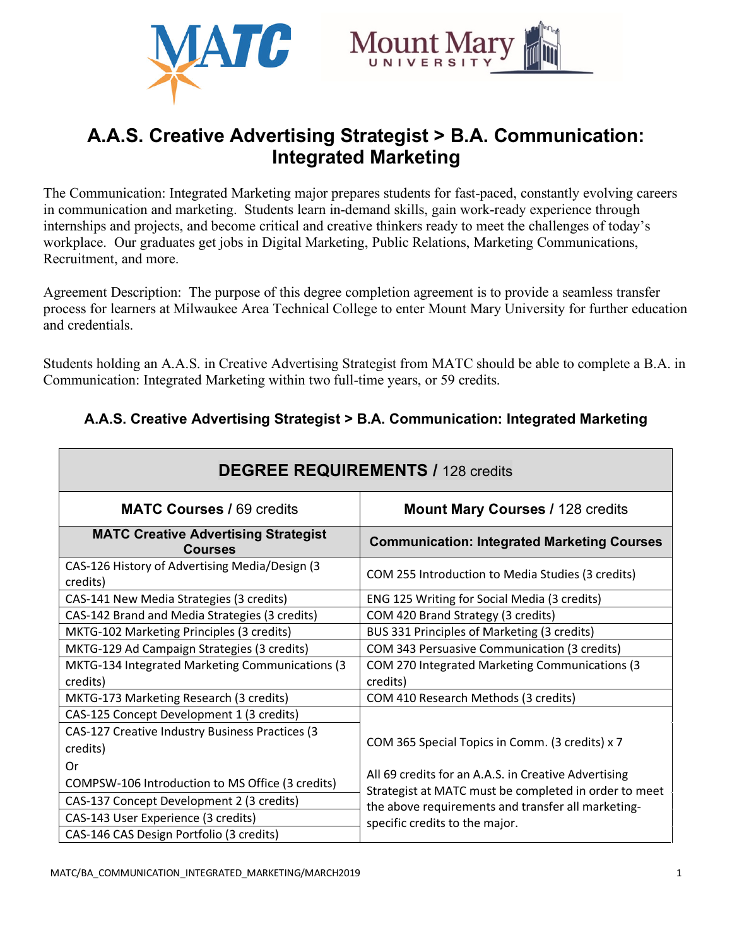



# **A.A.S. Creative Advertising Strategist > B.A. Communication: Integrated Marketing**

The Communication: Integrated Marketing major prepares students for fast-paced, constantly evolving careers in communication and marketing. Students learn in-demand skills, gain work-ready experience through internships and projects, and become critical and creative thinkers ready to meet the challenges of today's workplace. Our graduates get jobs in Digital Marketing, Public Relations, Marketing Communications, Recruitment, and more.

Agreement Description: The purpose of this degree completion agreement is to provide a seamless transfer process for learners at Milwaukee Area Technical College to enter Mount Mary University for further education and credentials.

Students holding an A.A.S. in Creative Advertising Strategist from MATC should be able to complete a B.A. in Communication: Integrated Marketing within two full-time years, or 59 credits.

| <b>DEGREE REQUIREMENTS / 128 credits</b>                      |                                                                                                                                               |
|---------------------------------------------------------------|-----------------------------------------------------------------------------------------------------------------------------------------------|
| <b>MATC Courses / 69 credits</b>                              | <b>Mount Mary Courses / 128 credits</b>                                                                                                       |
| <b>MATC Creative Advertising Strategist</b><br><b>Courses</b> | <b>Communication: Integrated Marketing Courses</b>                                                                                            |
| CAS-126 History of Advertising Media/Design (3<br>credits)    | COM 255 Introduction to Media Studies (3 credits)                                                                                             |
| CAS-141 New Media Strategies (3 credits)                      | ENG 125 Writing for Social Media (3 credits)                                                                                                  |
| CAS-142 Brand and Media Strategies (3 credits)                | COM 420 Brand Strategy (3 credits)                                                                                                            |
| MKTG-102 Marketing Principles (3 credits)                     | BUS 331 Principles of Marketing (3 credits)                                                                                                   |
| MKTG-129 Ad Campaign Strategies (3 credits)                   | COM 343 Persuasive Communication (3 credits)                                                                                                  |
| MKTG-134 Integrated Marketing Communications (3<br>credits)   | COM 270 Integrated Marketing Communications (3<br>credits)                                                                                    |
| MKTG-173 Marketing Research (3 credits)                       | COM 410 Research Methods (3 credits)                                                                                                          |
| CAS-125 Concept Development 1 (3 credits)                     |                                                                                                                                               |
| CAS-127 Creative Industry Business Practices (3<br>credits)   | COM 365 Special Topics in Comm. (3 credits) x 7                                                                                               |
| 0r                                                            | All 69 credits for an A.A.S. in Creative Advertising                                                                                          |
| COMPSW-106 Introduction to MS Office (3 credits)              | Strategist at MATC must be completed in order to meet<br>the above requirements and transfer all marketing-<br>specific credits to the major. |
| CAS-137 Concept Development 2 (3 credits)                     |                                                                                                                                               |
| CAS-143 User Experience (3 credits)                           |                                                                                                                                               |
| CAS-146 CAS Design Portfolio (3 credits)                      |                                                                                                                                               |

## **A.A.S. Creative Advertising Strategist > B.A. Communication: Integrated Marketing**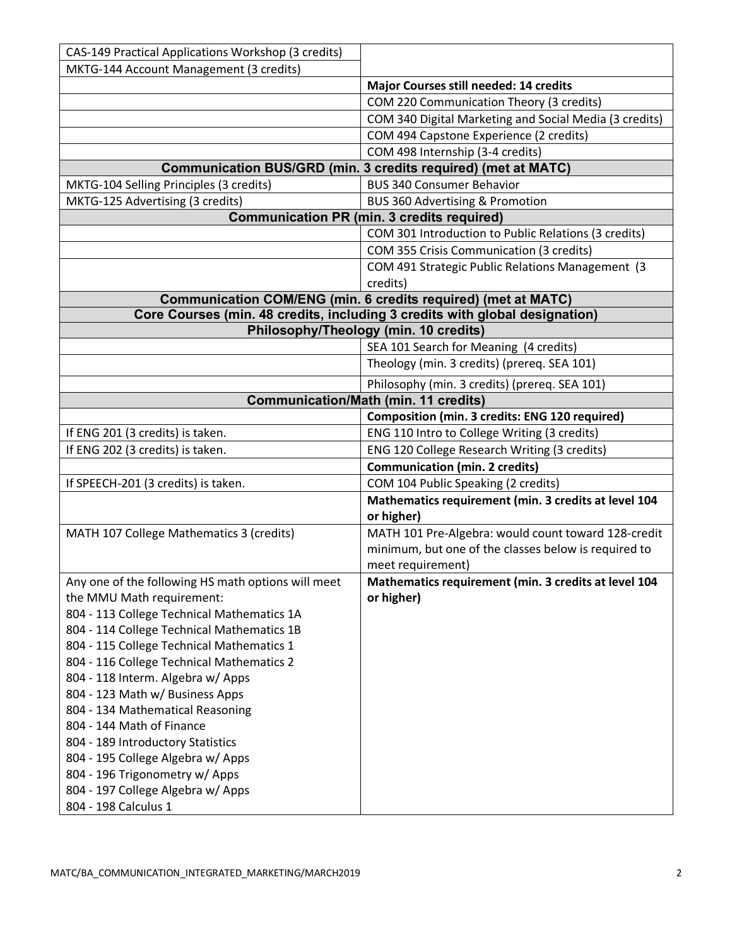| CAS-149 Practical Applications Workshop (3 credits) |                                                                             |
|-----------------------------------------------------|-----------------------------------------------------------------------------|
| MKTG-144 Account Management (3 credits)             |                                                                             |
|                                                     | Major Courses still needed: 14 credits                                      |
|                                                     | COM 220 Communication Theory (3 credits)                                    |
|                                                     | COM 340 Digital Marketing and Social Media (3 credits)                      |
|                                                     | COM 494 Capstone Experience (2 credits)                                     |
|                                                     | COM 498 Internship (3-4 credits)                                            |
|                                                     | Communication BUS/GRD (min. 3 credits required) (met at MATC)               |
| MKTG-104 Selling Principles (3 credits)             | <b>BUS 340 Consumer Behavior</b>                                            |
| MKTG-125 Advertising (3 credits)                    | <b>BUS 360 Advertising &amp; Promotion</b>                                  |
|                                                     | <b>Communication PR (min. 3 credits required)</b>                           |
|                                                     | COM 301 Introduction to Public Relations (3 credits)                        |
|                                                     | COM 355 Crisis Communication (3 credits)                                    |
|                                                     | COM 491 Strategic Public Relations Management (3                            |
|                                                     | credits)                                                                    |
|                                                     | Communication COM/ENG (min. 6 credits required) (met at MATC)               |
|                                                     | Core Courses (min. 48 credits, including 3 credits with global designation) |
|                                                     | Philosophy/Theology (min. 10 credits)                                       |
|                                                     | SEA 101 Search for Meaning (4 credits)                                      |
|                                                     | Theology (min. 3 credits) (prereq. SEA 101)                                 |
|                                                     | Philosophy (min. 3 credits) (prereq. SEA 101)                               |
|                                                     | <b>Communication/Math (min. 11 credits)</b>                                 |
|                                                     | Composition (min. 3 credits: ENG 120 required)                              |
| If ENG 201 (3 credits) is taken.                    | ENG 110 Intro to College Writing (3 credits)                                |
| If ENG 202 (3 credits) is taken.                    | ENG 120 College Research Writing (3 credits)                                |
|                                                     | <b>Communication (min. 2 credits)</b>                                       |
| If SPEECH-201 (3 credits) is taken.                 | COM 104 Public Speaking (2 credits)                                         |
|                                                     | Mathematics requirement (min. 3 credits at level 104                        |
|                                                     | or higher)                                                                  |
| MATH 107 College Mathematics 3 (credits)            | MATH 101 Pre-Algebra: would count toward 128-credit                         |
|                                                     | minimum, but one of the classes below is required to                        |
|                                                     | meet requirement)                                                           |
| Any one of the following HS math options will meet  | Mathematics requirement (min. 3 credits at level 104                        |
| the MMU Math requirement:                           | or higher)                                                                  |
| 804 - 113 College Technical Mathematics 1A          |                                                                             |
| 804 - 114 College Technical Mathematics 1B          |                                                                             |
| 804 - 115 College Technical Mathematics 1           |                                                                             |
| 804 - 116 College Technical Mathematics 2           |                                                                             |
| 804 - 118 Interm. Algebra w/ Apps                   |                                                                             |
| 804 - 123 Math w/ Business Apps                     |                                                                             |
| 804 - 134 Mathematical Reasoning                    |                                                                             |
| 804 - 144 Math of Finance                           |                                                                             |
| 804 - 189 Introductory Statistics                   |                                                                             |
| 804 - 195 College Algebra w/ Apps                   |                                                                             |
| 804 - 196 Trigonometry w/ Apps                      |                                                                             |
| 804 - 197 College Algebra w/ Apps                   |                                                                             |
| 804 - 198 Calculus 1                                |                                                                             |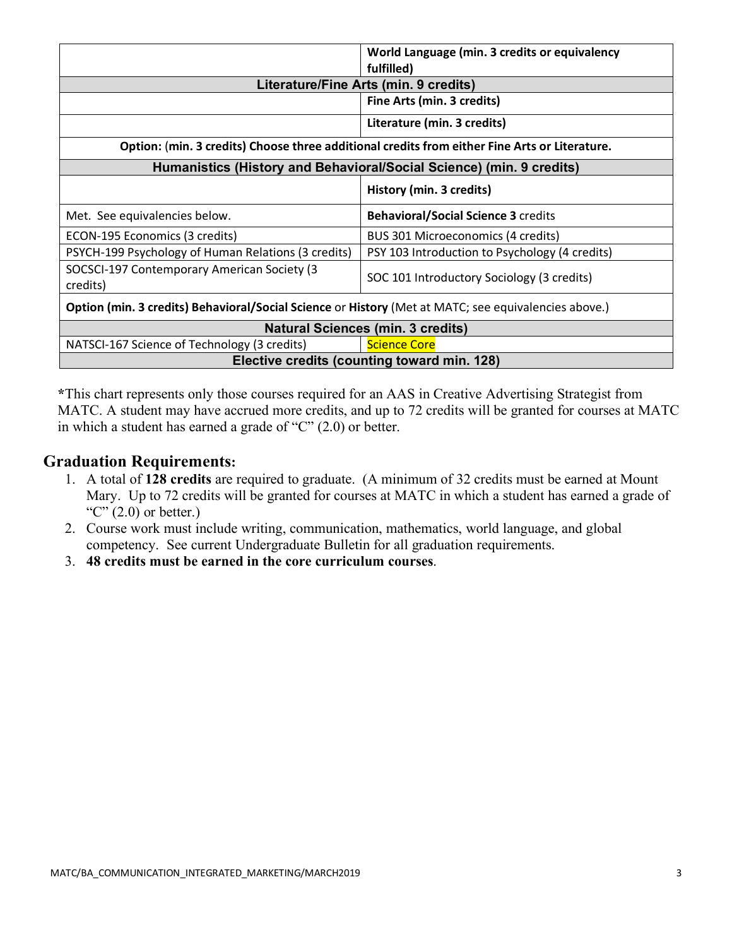|                                                                                                      | World Language (min. 3 credits or equivalency<br>fulfilled) |
|------------------------------------------------------------------------------------------------------|-------------------------------------------------------------|
| Literature/Fine Arts (min. 9 credits)                                                                |                                                             |
|                                                                                                      | Fine Arts (min. 3 credits)                                  |
|                                                                                                      | Literature (min. 3 credits)                                 |
| Option: (min. 3 credits) Choose three additional credits from either Fine Arts or Literature.        |                                                             |
| Humanistics (History and Behavioral/Social Science) (min. 9 credits)                                 |                                                             |
|                                                                                                      | History (min. 3 credits)                                    |
| Met. See equivalencies below.                                                                        | <b>Behavioral/Social Science 3 credits</b>                  |
|                                                                                                      |                                                             |
| ECON-195 Economics (3 credits)                                                                       | BUS 301 Microeconomics (4 credits)                          |
| PSYCH-199 Psychology of Human Relations (3 credits)                                                  | PSY 103 Introduction to Psychology (4 credits)              |
| SOCSCI-197 Contemporary American Society (3<br>credits)                                              | SOC 101 Introductory Sociology (3 credits)                  |
| Option (min. 3 credits) Behavioral/Social Science or History (Met at MATC; see equivalencies above.) |                                                             |
|                                                                                                      | <b>Natural Sciences (min. 3 credits)</b>                    |
| NATSCI-167 Science of Technology (3 credits)                                                         | <b>Science Core</b>                                         |

**\***This chart represents only those courses required for an AAS in Creative Advertising Strategist from MATC. A student may have accrued more credits, and up to 72 credits will be granted for courses at MATC in which a student has earned a grade of "C" (2.0) or better.

### **Graduation Requirements:**

- 1. A total of **128 credits** are required to graduate. (A minimum of 32 credits must be earned at Mount Mary. Up to 72 credits will be granted for courses at MATC in which a student has earned a grade of "C"  $(2.0)$  or better.)
- 2. Course work must include writing, communication, mathematics, world language, and global competency. See current Undergraduate Bulletin for all graduation requirements.
- 3. **48 credits must be earned in the core curriculum courses**.